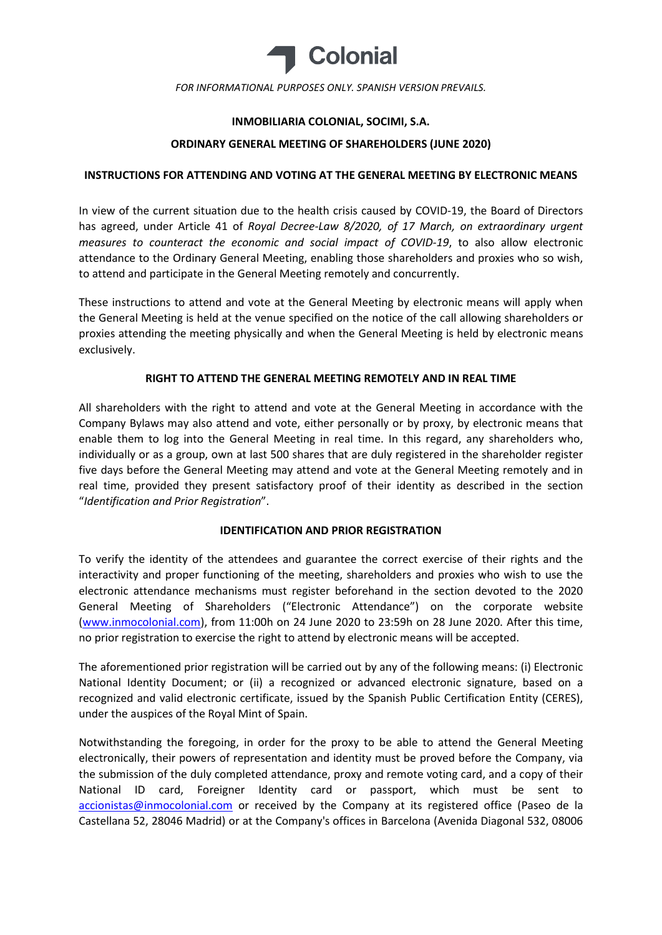

### INMOBILIARIA COLONIAL, SOCIMI, S.A.

#### ORDINARY GENERAL MEETING OF SHAREHOLDERS (JUNE 2020)

#### INSTRUCTIONS FOR ATTENDING AND VOTING AT THE GENERAL MEETING BY ELECTRONIC MEANS

In view of the current situation due to the health crisis caused by COVID-19, the Board of Directors has agreed, under Article 41 of Royal Decree-Law 8/2020, of 17 March, on extraordinary urgent measures to counteract the economic and social impact of COVID-19, to also allow electronic attendance to the Ordinary General Meeting, enabling those shareholders and proxies who so wish, to attend and participate in the General Meeting remotely and concurrently.

These instructions to attend and vote at the General Meeting by electronic means will apply when the General Meeting is held at the venue specified on the notice of the call allowing shareholders or proxies attending the meeting physically and when the General Meeting is held by electronic means exclusively.

### RIGHT TO ATTEND THE GENERAL MEETING REMOTELY AND IN REAL TIME

All shareholders with the right to attend and vote at the General Meeting in accordance with the Company Bylaws may also attend and vote, either personally or by proxy, by electronic means that enable them to log into the General Meeting in real time. In this regard, any shareholders who, individually or as a group, own at last 500 shares that are duly registered in the shareholder register five days before the General Meeting may attend and vote at the General Meeting remotely and in real time, provided they present satisfactory proof of their identity as described in the section "Identification and Prior Registration".

# IDENTIFICATION AND PRIOR REGISTRATION

To verify the identity of the attendees and guarantee the correct exercise of their rights and the interactivity and proper functioning of the meeting, shareholders and proxies who wish to use the electronic attendance mechanisms must register beforehand in the section devoted to the 2020 General Meeting of Shareholders ("Electronic Attendance") on the corporate website (www.inmocolonial.com), from 11:00h on 24 June 2020 to 23:59h on 28 June 2020. After this time, no prior registration to exercise the right to attend by electronic means will be accepted.

The aforementioned prior registration will be carried out by any of the following means: (i) Electronic National Identity Document; or (ii) a recognized or advanced electronic signature, based on a recognized and valid electronic certificate, issued by the Spanish Public Certification Entity (CERES), under the auspices of the Royal Mint of Spain.

Notwithstanding the foregoing, in order for the proxy to be able to attend the General Meeting electronically, their powers of representation and identity must be proved before the Company, via the submission of the duly completed attendance, proxy and remote voting card, and a copy of their National ID card, Foreigner Identity card or passport, which must be sent to accionistas@inmocolonial.com or received by the Company at its registered office (Paseo de la Castellana 52, 28046 Madrid) or at the Company's offices in Barcelona (Avenida Diagonal 532, 08006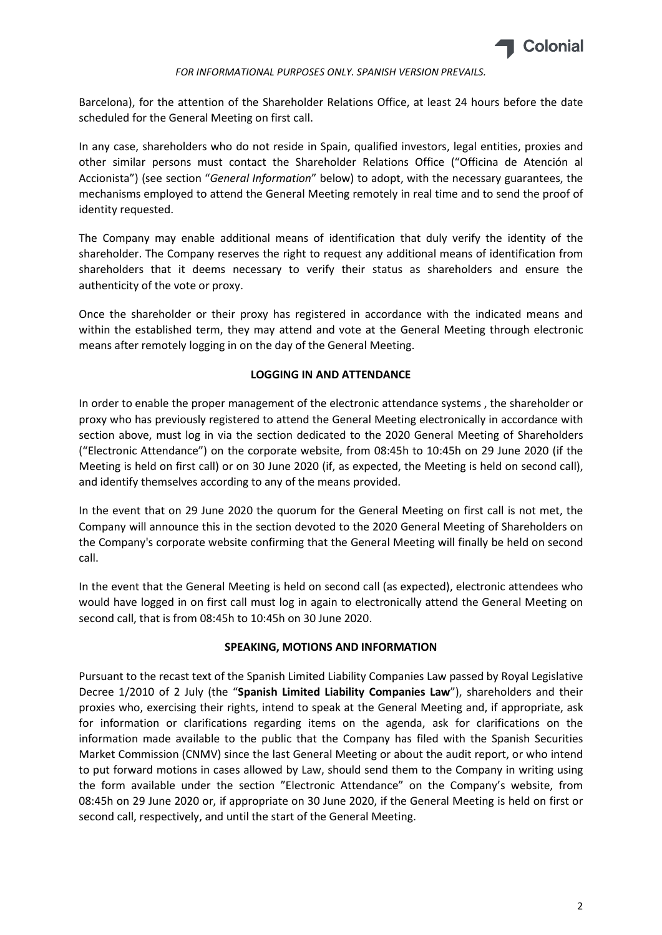

Barcelona), for the attention of the Shareholder Relations Office, at least 24 hours before the date scheduled for the General Meeting on first call.

In any case, shareholders who do not reside in Spain, qualified investors, legal entities, proxies and other similar persons must contact the Shareholder Relations Office ("Officina de Atención al Accionista") (see section "General Information" below) to adopt, with the necessary guarantees, the mechanisms employed to attend the General Meeting remotely in real time and to send the proof of identity requested.

The Company may enable additional means of identification that duly verify the identity of the shareholder. The Company reserves the right to request any additional means of identification from shareholders that it deems necessary to verify their status as shareholders and ensure the authenticity of the vote or proxy.

Once the shareholder or their proxy has registered in accordance with the indicated means and within the established term, they may attend and vote at the General Meeting through electronic means after remotely logging in on the day of the General Meeting.

### LOGGING IN AND ATTENDANCE

In order to enable the proper management of the electronic attendance systems , the shareholder or proxy who has previously registered to attend the General Meeting electronically in accordance with section above, must log in via the section dedicated to the 2020 General Meeting of Shareholders ("Electronic Attendance") on the corporate website, from 08:45h to 10:45h on 29 June 2020 (if the Meeting is held on first call) or on 30 June 2020 (if, as expected, the Meeting is held on second call), and identify themselves according to any of the means provided.

In the event that on 29 June 2020 the quorum for the General Meeting on first call is not met, the Company will announce this in the section devoted to the 2020 General Meeting of Shareholders on the Company's corporate website confirming that the General Meeting will finally be held on second call.

In the event that the General Meeting is held on second call (as expected), electronic attendees who would have logged in on first call must log in again to electronically attend the General Meeting on second call, that is from 08:45h to 10:45h on 30 June 2020.

# SPEAKING, MOTIONS AND INFORMATION

Pursuant to the recast text of the Spanish Limited Liability Companies Law passed by Royal Legislative Decree 1/2010 of 2 July (the "Spanish Limited Liability Companies Law"), shareholders and their proxies who, exercising their rights, intend to speak at the General Meeting and, if appropriate, ask for information or clarifications regarding items on the agenda, ask for clarifications on the information made available to the public that the Company has filed with the Spanish Securities Market Commission (CNMV) since the last General Meeting or about the audit report, or who intend to put forward motions in cases allowed by Law, should send them to the Company in writing using the form available under the section "Electronic Attendance" on the Company's website, from 08:45h on 29 June 2020 or, if appropriate on 30 June 2020, if the General Meeting is held on first or second call, respectively, and until the start of the General Meeting.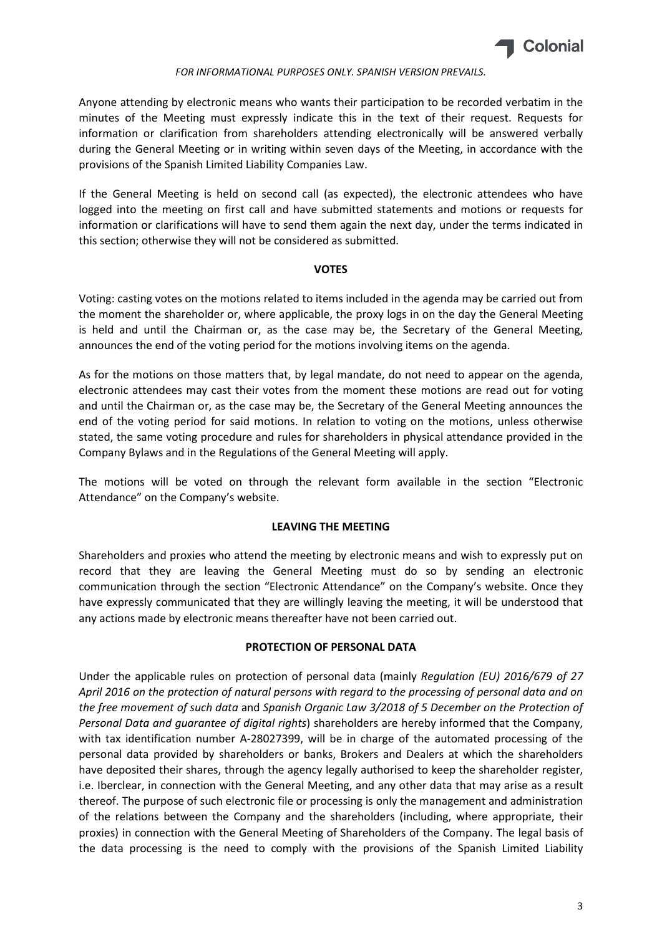

Anyone attending by electronic means who wants their participation to be recorded verbatim in the minutes of the Meeting must expressly indicate this in the text of their request. Requests for information or clarification from shareholders attending electronically will be answered verbally during the General Meeting or in writing within seven days of the Meeting, in accordance with the provisions of the Spanish Limited Liability Companies Law.

If the General Meeting is held on second call (as expected), the electronic attendees who have logged into the meeting on first call and have submitted statements and motions or requests for information or clarifications will have to send them again the next day, under the terms indicated in this section; otherwise they will not be considered as submitted.

### VOTES

Voting: casting votes on the motions related to items included in the agenda may be carried out from the moment the shareholder or, where applicable, the proxy logs in on the day the General Meeting is held and until the Chairman or, as the case may be, the Secretary of the General Meeting, announces the end of the voting period for the motions involving items on the agenda.

As for the motions on those matters that, by legal mandate, do not need to appear on the agenda, electronic attendees may cast their votes from the moment these motions are read out for voting and until the Chairman or, as the case may be, the Secretary of the General Meeting announces the end of the voting period for said motions. In relation to voting on the motions, unless otherwise stated, the same voting procedure and rules for shareholders in physical attendance provided in the Company Bylaws and in the Regulations of the General Meeting will apply.

The motions will be voted on through the relevant form available in the section "Electronic Attendance" on the Company's website.

# LEAVING THE MEETING

Shareholders and proxies who attend the meeting by electronic means and wish to expressly put on record that they are leaving the General Meeting must do so by sending an electronic communication through the section "Electronic Attendance" on the Company's website. Once they have expressly communicated that they are willingly leaving the meeting, it will be understood that any actions made by electronic means thereafter have not been carried out.

# PROTECTION OF PERSONAL DATA

Under the applicable rules on protection of personal data (mainly Regulation (EU) 2016/679 of 27 April 2016 on the protection of natural persons with regard to the processing of personal data and on the free movement of such data and Spanish Organic Law 3/2018 of 5 December on the Protection of Personal Data and guarantee of digital rights) shareholders are hereby informed that the Company, with tax identification number A-28027399, will be in charge of the automated processing of the personal data provided by shareholders or banks, Brokers and Dealers at which the shareholders have deposited their shares, through the agency legally authorised to keep the shareholder register, i.e. Iberclear, in connection with the General Meeting, and any other data that may arise as a result thereof. The purpose of such electronic file or processing is only the management and administration of the relations between the Company and the shareholders (including, where appropriate, their proxies) in connection with the General Meeting of Shareholders of the Company. The legal basis of the data processing is the need to comply with the provisions of the Spanish Limited Liability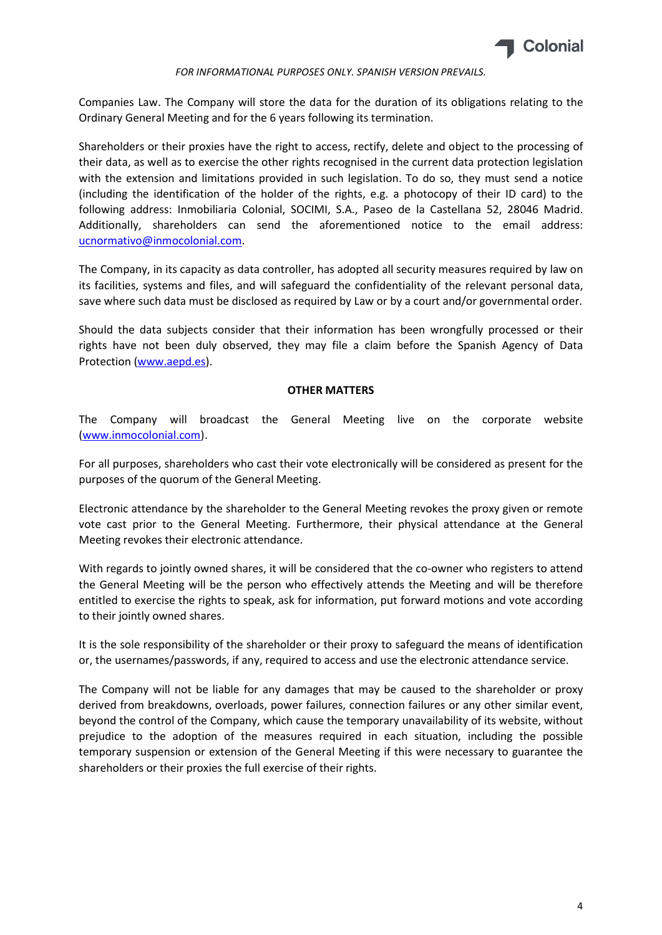

Companies Law. The Company will store the data for the duration of its obligations relating to the Ordinary General Meeting and for the 6 years following its termination.

Shareholders or their proxies have the right to access, rectify, delete and object to the processing of their data, as well as to exercise the other rights recognised in the current data protection legislation with the extension and limitations provided in such legislation. To do so, they must send a notice (including the identification of the holder of the rights, e.g. a photocopy of their ID card) to the following address: Inmobiliaria Colonial, SOCIMI, S.A., Paseo de la Castellana 52, 28046 Madrid. Additionally, shareholders can send the aforementioned notice to the email address: ucnormativo@inmocolonial.com.

The Company, in its capacity as data controller, has adopted all security measures required by law on its facilities, systems and files, and will safeguard the confidentiality of the relevant personal data, save where such data must be disclosed as required by Law or by a court and/or governmental order.

Should the data subjects consider that their information has been wrongfully processed or their rights have not been duly observed, they may file a claim before the Spanish Agency of Data Protection (www.aepd.es).

# OTHER MATTERS

The Company will broadcast the General Meeting live on the corporate website (www.inmocolonial.com).

For all purposes, shareholders who cast their vote electronically will be considered as present for the purposes of the quorum of the General Meeting.

Electronic attendance by the shareholder to the General Meeting revokes the proxy given or remote vote cast prior to the General Meeting. Furthermore, their physical attendance at the General Meeting revokes their electronic attendance.

With regards to jointly owned shares, it will be considered that the co-owner who registers to attend the General Meeting will be the person who effectively attends the Meeting and will be therefore entitled to exercise the rights to speak, ask for information, put forward motions and vote according to their jointly owned shares.

It is the sole responsibility of the shareholder or their proxy to safeguard the means of identification or, the usernames/passwords, if any, required to access and use the electronic attendance service.

The Company will not be liable for any damages that may be caused to the shareholder or proxy derived from breakdowns, overloads, power failures, connection failures or any other similar event, beyond the control of the Company, which cause the temporary unavailability of its website, without prejudice to the adoption of the measures required in each situation, including the possible temporary suspension or extension of the General Meeting if this were necessary to guarantee the shareholders or their proxies the full exercise of their rights.